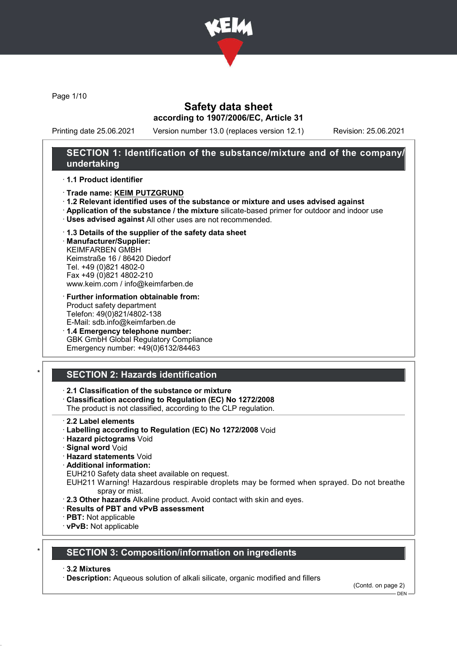

Page 1/10

### Safety data sheet according to 1907/2006/EC, Article 31

Printing date 25.06.2021 Version number 13.0 (replaces version 12.1) Revision: 25.06.2021

### SECTION 1: Identification of the substance/mixture and of the company/ undertaking

#### · 1.1 Product identifier

- · Trade name: KEIM PUTZGRUND
- · 1.2 Relevant identified uses of the substance or mixture and uses advised against
- · Application of the substance / the mixture silicate-based primer for outdoor and indoor use
- · Uses advised against All other uses are not recommended.
- · 1.3 Details of the supplier of the safety data sheet

· Manufacturer/Supplier: KEIMFARBEN GMBH Keimstraße 16 / 86420 Diedorf Tel. +49 (0)821 4802-0 Fax +49 (0)821 4802-210 www.keim.com / info@keimfarben.de

· Further information obtainable from: Product safety department Telefon: 49(0)821/4802-138 E-Mail: sdb.info@keimfarben.de

· 1.4 Emergency telephone number: GBK GmbH Global Regulatory Compliance Emergency number: +49(0)6132/84463

# **SECTION 2: Hazards identification**

### · 2.1 Classification of the substance or mixture

· Classification according to Regulation (EC) No 1272/2008

The product is not classified, according to the CLP regulation.

- · 2.2 Label elements
- · Labelling according to Regulation (EC) No 1272/2008 Void
- · Hazard pictograms Void
- · Signal word Void
- · Hazard statements Void
- · Additional information:

EUH210 Safety data sheet available on request.

EUH211 Warning! Hazardous respirable droplets may be formed when sprayed. Do not breathe spray or mist.

- · 2.3 Other hazards Alkaline product. Avoid contact with skin and eyes.
- · Results of PBT and vPvB assessment
- · PBT: Not applicable
- · vPvB: Not applicable

# **SECTION 3: Composition/information on ingredients**

#### · 3.2 Mixtures

· Description: Aqueous solution of alkali silicate, organic modified and fillers

(Contd. on page 2)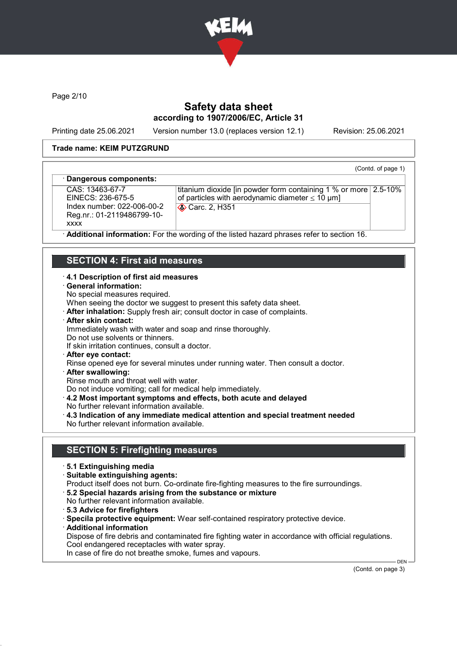

Page 2/10

# Safety data sheet according to 1907/2006/EC, Article 31

Printing date 25.06.2021 Version number 13.0 (replaces version 12.1) Revision: 25.06.2021

(Contd. of page 1)

#### Trade name: KEIM PUTZGRUND

#### Dangerous components:

CAS: 13463-67-7 EINECS: 236-675-5 Index number: 022-006-00-2 Reg.nr.: 01-2119486799-10 xxxx

titanium dioxide [in powder form containing 1 % or more 2.5-10% of particles with aerodynamic diameter  $\leq 10 \text{ }\mu\text{m}$ ] Carc. 2, H351

Additional information: For the wording of the listed hazard phrases refer to section 16.

### SECTION 4: First aid measures

#### · 4.1 Description of first aid measures

- · General information:
- No special measures required.

When seeing the doctor we suggest to present this safety data sheet.

- · After inhalation: Supply fresh air; consult doctor in case of complaints.
- · After skin contact:

Immediately wash with water and soap and rinse thoroughly.

- Do not use solvents or thinners.
- If skin irritation continues, consult a doctor.
- · After eye contact:

Rinse opened eye for several minutes under running water. Then consult a doctor.

· After swallowing:

Rinse mouth and throat well with water.

Do not induce vomiting; call for medical help immediately.

- · 4.2 Most important symptoms and effects, both acute and delayed
- No further relevant information available.
- · 4.3 Indication of any immediate medical attention and special treatment needed No further relevant information available.

### SECTION 5: Firefighting measures

- · 5.1 Extinguishing media
- · Suitable extinguishing agents:
- Product itself does not burn. Co-ordinate fire-fighting measures to the fire surroundings.
- · 5.2 Special hazards arising from the substance or mixture
- No further relevant information available.
- · 5.3 Advice for firefighters

· Specila protective equipment: Wear self-contained respiratory protective device.

· Additional information

Dispose of fire debris and contaminated fire fighting water in accordance with official regulations. Cool endangered receptacles with water spray.

In case of fire do not breathe smoke, fumes and vapours.

(Contd. on page 3)

DEN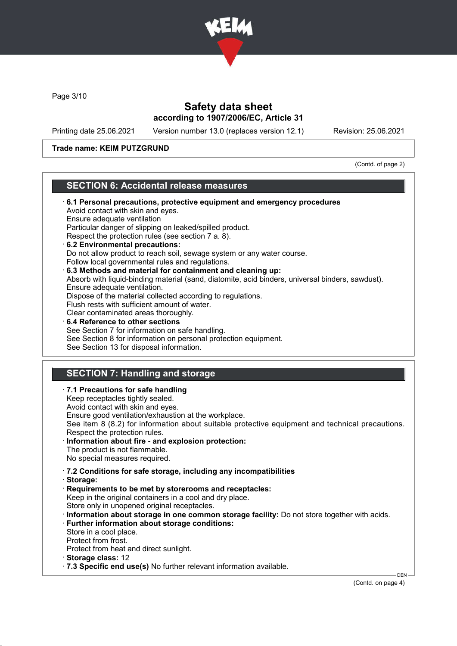

Page 3/10

### Safety data sheet according to 1907/2006/EC, Article 31

Printing date 25.06.2021 Version number 13.0 (replaces version 12.1) Revision: 25.06.2021

#### Trade name: KEIM PUTZGRUND

(Contd. of page 2)

### SECTION 6: Accidental release measures

- · 6.1 Personal precautions, protective equipment and emergency procedures Avoid contact with skin and eyes. Ensure adequate ventilation Particular danger of slipping on leaked/spilled product. Respect the protection rules (see section 7 a. 8). · 6.2 Environmental precautions: Do not allow product to reach soil, sewage system or any water course. Follow local governmental rules and regulations. · 6.3 Methods and material for containment and cleaning up: Absorb with liquid-binding material (sand, diatomite, acid binders, universal binders, sawdust). Ensure adequate ventilation. Dispose of the material collected according to regulations. Flush rests with sufficient amount of water. Clear contaminated areas thoroughly. 6.4 Reference to other sections See Section 7 for information on safe handling. See Section 8 for information on personal protection equipment. See Section 13 for disposal information. SECTION 7: Handling and storage · 7.1 Precautions for safe handling Keep receptacles tightly sealed. Avoid contact with skin and eyes. Ensure good ventilation/exhaustion at the workplace.
- See item 8 (8.2) for information about suitable protective equipment and technical precautions.
- Respect the protection rules. Information about fire - and explosion protection: The product is not flammable. No special measures required.
- · 7.2 Conditions for safe storage, including any incompatibilities
- · Storage:
- · Requirements to be met by storerooms and receptacles: Keep in the original containers in a cool and dry place. Store only in unopened original receptacles.
- · Information about storage in one common storage facility: Do not store together with acids. · Further information about storage conditions:
- Store in a cool place. Protect from frost.
- Protect from heat and direct sunlight.
- · Storage class: 12
- · 7.3 Specific end use(s) No further relevant information available.

(Contd. on page 4)

DEN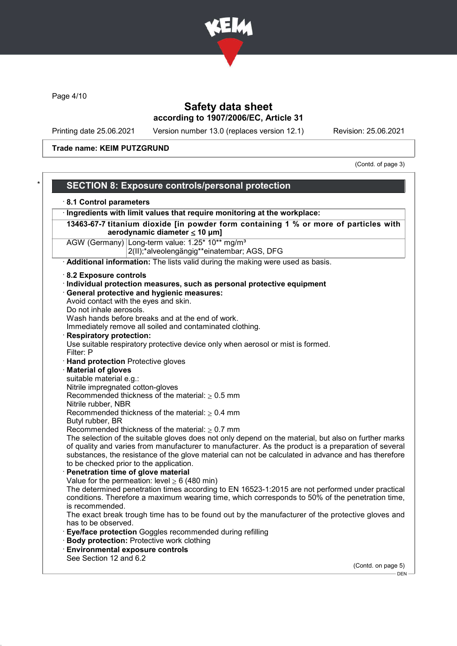

Page 4/10

# Safety data sheet according to 1907/2006/EC, Article 31

Printing date 25.06.2021 Version number 13.0 (replaces version 12.1) Revision: 25.06.2021

Trade name: KEIM PUTZGRUND

(Contd. of page 3)

| 8.1 Control parameters                                                                                                                                                                                                                                                                                                                                        |
|---------------------------------------------------------------------------------------------------------------------------------------------------------------------------------------------------------------------------------------------------------------------------------------------------------------------------------------------------------------|
| · Ingredients with limit values that require monitoring at the workplace:                                                                                                                                                                                                                                                                                     |
| 13463-67-7 titanium dioxide [in powder form containing 1 % or more of particles with<br>aerodynamic diameter $\leq$ 10 µm]                                                                                                                                                                                                                                    |
| AGW (Germany) Long-term value: 1.25* 10** mg/m <sup>3</sup><br>2(II);*alveolengängig**einatembar; AGS, DFG                                                                                                                                                                                                                                                    |
| Additional information: The lists valid during the making were used as basis.                                                                                                                                                                                                                                                                                 |
| 8.2 Exposure controls                                                                                                                                                                                                                                                                                                                                         |
| · Individual protection measures, such as personal protective equipment<br>· General protective and hygienic measures:<br>Avoid contact with the eyes and skin.<br>Do not inhale aerosols.                                                                                                                                                                    |
| Wash hands before breaks and at the end of work.<br>Immediately remove all soiled and contaminated clothing.                                                                                                                                                                                                                                                  |
| <b>Respiratory protection:</b><br>Use suitable respiratory protective device only when aerosol or mist is formed.<br>Filter: P                                                                                                                                                                                                                                |
| · Hand protection Protective gloves                                                                                                                                                                                                                                                                                                                           |
| <b>Material of gloves</b>                                                                                                                                                                                                                                                                                                                                     |
| suitable material e.g.:                                                                                                                                                                                                                                                                                                                                       |
| Nitrile impregnated cotton-gloves                                                                                                                                                                                                                                                                                                                             |
| Recommended thickness of the material: $\geq 0.5$ mm                                                                                                                                                                                                                                                                                                          |
| Nitrile rubber, NBR                                                                                                                                                                                                                                                                                                                                           |
| Recommended thickness of the material: $\geq 0.4$ mm<br>Butyl rubber, BR                                                                                                                                                                                                                                                                                      |
| Recommended thickness of the material: $\geq 0.7$ mm                                                                                                                                                                                                                                                                                                          |
| The selection of the suitable gloves does not only depend on the material, but also on further marks<br>of quality and varies from manufacturer to manufacturer. As the product is a preparation of several<br>substances, the resistance of the glove material can not be calculated in advance and has therefore<br>to be checked prior to the application. |
| Penetration time of glove material                                                                                                                                                                                                                                                                                                                            |
| Value for the permeation: level $\geq 6$ (480 min)                                                                                                                                                                                                                                                                                                            |
| The determined penetration times according to EN 16523-1:2015 are not performed under practical<br>conditions. Therefore a maximum wearing time, which corresponds to 50% of the penetration time,<br>is recommended.                                                                                                                                         |
| The exact break trough time has to be found out by the manufacturer of the protective gloves and<br>has to be observed.                                                                                                                                                                                                                                       |
| · Eye/face protection Goggles recommended during refilling                                                                                                                                                                                                                                                                                                    |
| <b>Body protection: Protective work clothing</b>                                                                                                                                                                                                                                                                                                              |
| <b>Environmental exposure controls</b>                                                                                                                                                                                                                                                                                                                        |
| See Section 12 and 6.2                                                                                                                                                                                                                                                                                                                                        |
| (Contd. on page 5)<br>- DEN -                                                                                                                                                                                                                                                                                                                                 |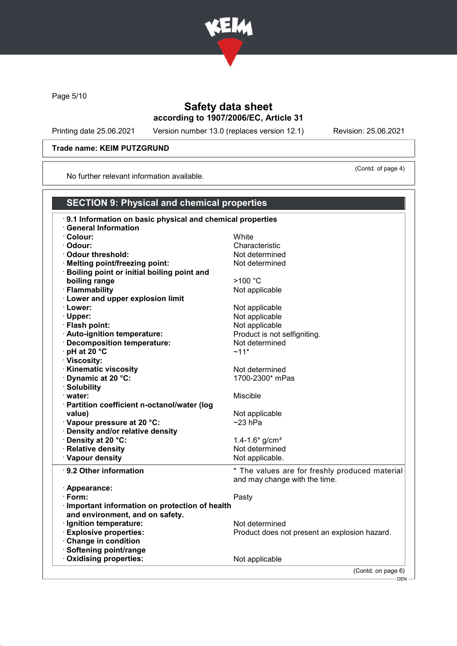

Page 5/10

# Safety data sheet according to 1907/2006/EC, Article 31

Printing date 25.06.2021 Version number 13.0 (replaces version 12.1) Revision: 25.06.2021

(Contd. of page 4)

#### Trade name: KEIM PUTZGRUND

No further relevant information available.

| <b>SECTION 9: Physical and chemical properties</b>        |                                                |
|-----------------------------------------------------------|------------------------------------------------|
| 9.1 Information on basic physical and chemical properties |                                                |
| <b>General Information</b>                                |                                                |
| · Colour:                                                 | White                                          |
| · Odour:                                                  | Characteristic                                 |
| Odour threshold:                                          | Not determined                                 |
| · Melting point/freezing point:                           | Not determined                                 |
| <b>Boiling point or initial boiling point and</b>         |                                                |
| boiling range                                             | >100 °C                                        |
| · Flammability                                            | Not applicable                                 |
| · Lower and upper explosion limit                         |                                                |
| · Lower:                                                  | Not applicable                                 |
| · Upper:                                                  | Not applicable                                 |
| · Flash point:                                            | Not applicable                                 |
| · Auto-ignition temperature:                              | Product is not selfigniting.                   |
| · Decomposition temperature:                              | Not determined                                 |
| $\cdot$ pH at 20 $\degree$ C                              | $~11*$                                         |
| · Viscosity:                                              |                                                |
| <b>Kinematic viscosity</b>                                | Not determined                                 |
| Dynamic at 20 °C:                                         | 1700-2300* mPas                                |
| · Solubility                                              |                                                |
| · water:                                                  | Miscible                                       |
| · Partition coefficient n-octanol/water (log              |                                                |
| value)                                                    | Not applicable                                 |
| Vapour pressure at 20 °C:                                 | $~23$ hPa                                      |
| Density and/or relative density                           |                                                |
| Density at 20 °C:                                         | 1.4-1.6* $g/cm^{3}$                            |
| · Relative density                                        | Not determined                                 |
| · Vapour density                                          | Not applicable.                                |
| ⋅ 9.2 Other information                                   | * The values are for freshly produced material |
|                                                           | and may change with the time.                  |
| · Appearance:                                             |                                                |
| · Form:                                                   | Pasty                                          |
| Important information on protection of health             |                                                |
| and environment, and on safety.                           |                                                |
| · Ignition temperature:                                   | Not determined                                 |
| <b>Explosive properties:</b>                              | Product does not present an explosion hazard.  |
| Change in condition                                       |                                                |
| Softening point/range                                     |                                                |
| Oxidising properties:                                     | Not applicable                                 |
|                                                           | (Contd. on page 6)                             |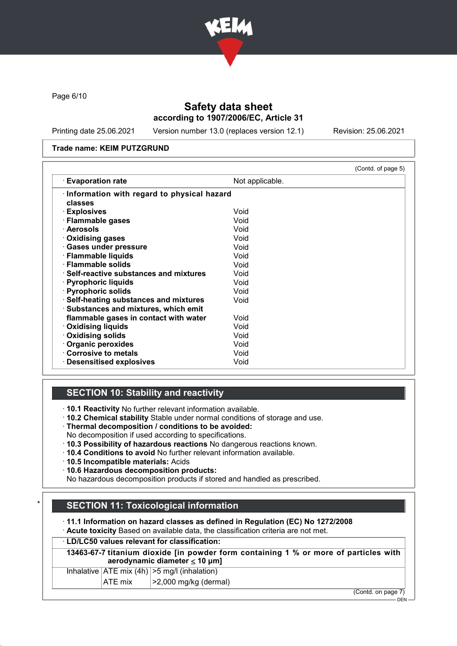

Page 6/10

# Safety data sheet according to 1907/2006/EC, Article 31

Printing date 25.06.2021 Version number 13.0 (replaces version 12.1) Revision: 25.06.2021

#### Trade name: KEIM PUTZGRUND

|                                                                                 |                 | (Contd. of page 5) |
|---------------------------------------------------------------------------------|-----------------|--------------------|
| <b>Evaporation rate</b>                                                         | Not applicable. |                    |
| Information with regard to physical hazard<br>classes                           |                 |                    |
| · Explosives                                                                    | Void            |                    |
| · Flammable gases                                                               | Void            |                    |
| · Aerosols                                                                      | Void            |                    |
| · Oxidising gases                                                               | Void            |                    |
| · Gases under pressure                                                          | Void            |                    |
| · Flammable liquids                                                             | Void            |                    |
| · Flammable solids                                                              | Void            |                    |
| $\cdot$ Self-reactive substances and mixtures                                   | Void            |                    |
| · Pyrophoric liquids                                                            | Void            |                    |
| · Pyrophoric solids                                                             | Void            |                    |
| · Self-heating substances and mixtures<br>· Substances and mixtures, which emit | Void            |                    |
| flammable gases in contact with water                                           | Void            |                    |
| <b>Oxidising liquids</b>                                                        | Void            |                    |
| Oxidising solids                                                                | Void            |                    |
| Organic peroxides                                                               | Void            |                    |
| Corrosive to metals                                                             | Void            |                    |
| $\cdot$ Desensitised explosives                                                 | Void            |                    |

### SECTION 10: Stability and reactivity

· 10.1 Reactivity No further relevant information available.

- · 10.2 Chemical stability Stable under normal conditions of storage and use.
- · Thermal decomposition / conditions to be avoided:
- No decomposition if used according to specifications.
- · 10.3 Possibility of hazardous reactions No dangerous reactions known.
- · 10.4 Conditions to avoid No further relevant information available.
- · 10.5 Incompatible materials: Acids
- · 10.6 Hazardous decomposition products:

No hazardous decomposition products if stored and handled as prescribed.

# **SECTION 11: Toxicological information**

· 11.1 Information on hazard classes as defined in Regulation (EC) No 1272/2008

· Acute toxicity Based on available data, the classification criteria are not met.

### · LD/LC50 values relevant for classification:

13463-67-7 titanium dioxide [in powder form containing 1 % or more of particles with aerodynamic diameter ≤ 10 μm]

|  | Inhalative $ ATE \text{ mix } (4h)  > 5 \text{ mg/l } (inhalation)$ |
|--|---------------------------------------------------------------------|
|  | $\sim$ 0.000 $\sim$ $\sim$ 0.1.                                     |

 $|ATE \text{ mix}$   $| > 2,000 \text{ mg/kg}$  (dermal)

(Contd. on page 7)

 $-$  DEN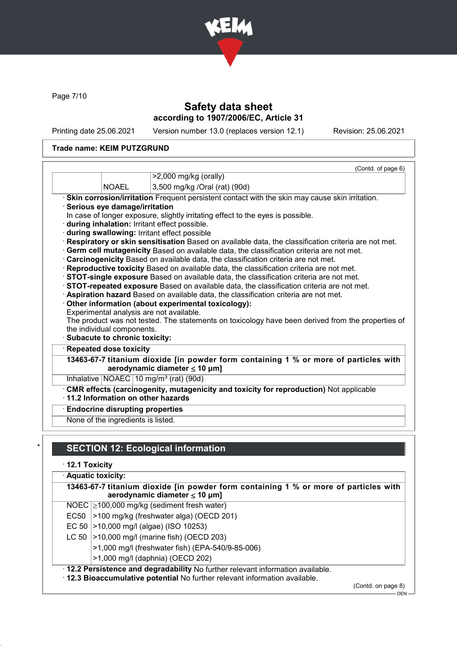

Page 7/10

# Safety data sheet according to 1907/2006/EC, Article 31

Printing date 25.06.2021 Version number 13.0 (replaces version 12.1) Revision: 25.06.2021

### Trade name: KEIM PUTZGRUND

|                                        | (Contd. of page 6)<br>>2,000 mg/kg (orally)                                                                                         |
|----------------------------------------|-------------------------------------------------------------------------------------------------------------------------------------|
| <b>NOAEL</b>                           | 3,500 mg/kg /Oral (rat) (90d)                                                                                                       |
|                                        | · Skin corrosion/irritation Frequent persistent contact with the skin may cause skin irritation.                                    |
| Serious eye damage/irritation          |                                                                                                                                     |
|                                        | In case of longer exposure, slightly irritating effect to the eyes is possible.                                                     |
|                                        | · during inhalation: Irritant effect possible.                                                                                      |
|                                        | during swallowing: Irritant effect possible                                                                                         |
|                                        | Respiratory or skin sensitisation Based on available data, the classification criteria are not met.                                 |
|                                        | · Germ cell mutagenicity Based on available data, the classification criteria are not met.                                          |
|                                        | Carcinogenicity Based on available data, the classification criteria are not met.                                                   |
|                                        |                                                                                                                                     |
|                                        |                                                                                                                                     |
|                                        | Reproductive toxicity Based on available data, the classification criteria are not met.                                             |
|                                        | · STOT-single exposure Based on available data, the classification criteria are not met.                                            |
|                                        | STOT-repeated exposure Based on available data, the classification criteria are not met.                                            |
|                                        | · Aspiration hazard Based on available data, the classification criteria are not met.                                               |
|                                        | Other information (about experimental toxicology):                                                                                  |
|                                        | Experimental analysis are not available.                                                                                            |
| the individual components.             |                                                                                                                                     |
| · Subacute to chronic toxicity:        |                                                                                                                                     |
| · Repeated dose toxicity               | The product was not tested. The statements on toxicology have been derived from the properties of                                   |
|                                        | aerodynamic diameter $\leq 10$ µm]                                                                                                  |
|                                        | Inhalative $NOAEC$ 10 mg/m <sup>3</sup> (rat) (90d)                                                                                 |
|                                        |                                                                                                                                     |
|                                        | CMR effects (carcinogenity, mutagenicity and toxicity for reproduction) Not applicable<br>$\cdot$ 11.2 Information on other hazards |
| <b>Endocrine disrupting properties</b> | 13463-67-7 titanium dioxide [in powder form containing 1 % or more of particles with                                                |

# **SECTION 12: Ecological information**

· 12.1 Toxicity

|      | · Aquatic toxicity:                                                                                                                                            |  |  |  |
|------|----------------------------------------------------------------------------------------------------------------------------------------------------------------|--|--|--|
|      | 13463-67-7 titanium dioxide [in powder form containing 1 % or more of particles with<br>aerodynamic diameter $\leq 10$ µm]                                     |  |  |  |
|      | NOEC $\geq$ 100,000 mg/kg (sediment fresh water)                                                                                                               |  |  |  |
| EC50 | >100 mg/kg (freshwater alga) (OECD 201)                                                                                                                        |  |  |  |
|      | EC 50   > 10,000 mg/l (algae) (ISO 10253)                                                                                                                      |  |  |  |
|      | LC 50   > 10,000 mg/l (marine fish) (OECD 203)                                                                                                                 |  |  |  |
|      | >1,000 mg/l (freshwater fish) (EPA-540/9-85-006)                                                                                                               |  |  |  |
|      | >1,000 mg/l (daphnia) (OECD 202)                                                                                                                               |  |  |  |
|      | · 12.2 Persistence and degradability No further relevant information available.<br>. 12.3 Bioaccumulative potential No further relevant information available. |  |  |  |

(Contd. on page 8)

 $-$  DEN -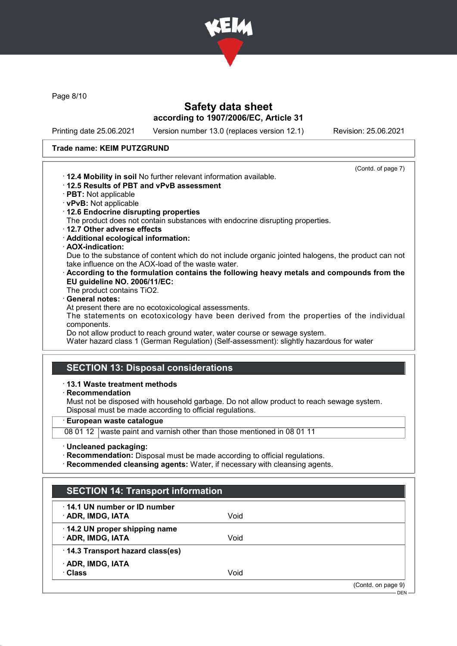

Page 8/10

# Safety data sheet according to 1907/2006/EC, Article 31

Printing date 25.06.2021 Version number 13.0 (replaces version 12.1) Revision: 25.06.2021

#### Trade name: KEIM PUTZGRUND

| (Contd. of page 7)                                                                                 |
|----------------------------------------------------------------------------------------------------|
| . 12.4 Mobility in soil No further relevant information available.                                 |
| $\cdot$ 12.5 Results of PBT and vPvB assessment                                                    |
| $\cdot$ PBT: Not applicable                                                                        |
| · vPvB: Not applicable                                                                             |
| 12.6 Endocrine disrupting properties                                                               |
| The product does not contain substances with endocrine disrupting properties.                      |
| 12.7 Other adverse effects                                                                         |
| · Additional ecological information:                                                               |
| · AOX-indication:                                                                                  |
| Due to the substance of content which do not include organic jointed halogens, the product can not |
| take influence on the AOX-load of the waste water.                                                 |
| According to the formulation contains the following heavy metals and compounds from the            |
| EU guideline NO. 2006/11/EC:                                                                       |
| The product contains TiO2.                                                                         |
| · General notes:                                                                                   |
| At present there are no ecotoxicological assessments.                                              |
| The statements on ecotoxicology have been derived from the properties of the individual            |
| components.                                                                                        |
| Do not allow product to reach ground water, water course or sewage system.                         |
| Water hazard class 1 (German Regulation) (Self-assessment): slightly hazardous for water           |
|                                                                                                    |
|                                                                                                    |
| <b>SECTION 13: Disposal considerations</b>                                                         |
| $\cdot$ 13.1 Waste treatment methods                                                               |

· Recommendation

Must not be disposed with household garbage. Do not allow product to reach sewage system. Disposal must be made according to official regulations.

· European waste catalogue

08 01 12 waste paint and varnish other than those mentioned in 08 01 11

- · Uncleaned packaging:
- · Recommendation: Disposal must be made according to official regulations.

· Recommended cleansing agents: Water, if necessary with cleansing agents.

| <b>SECTION 14: Transport information</b> |                               |
|------------------------------------------|-------------------------------|
| Void                                     |                               |
| Void                                     |                               |
|                                          |                               |
| Void                                     |                               |
|                                          | (Contd. on page 9)<br>$DEN -$ |
|                                          |                               |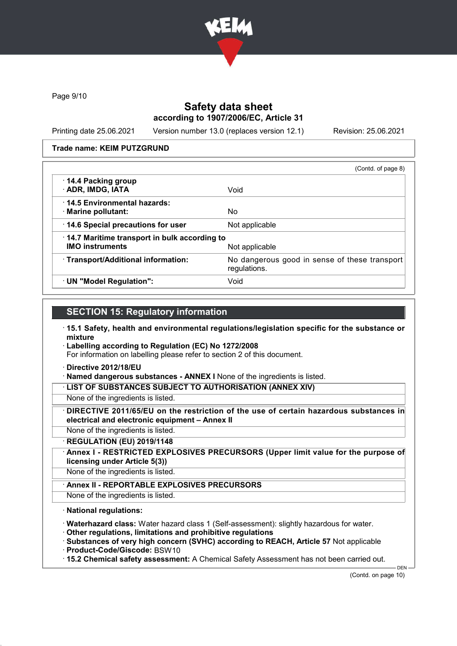

Page 9/10

# Safety data sheet according to 1907/2006/EC, Article 31

Printing date 25.06.2021 Version number 13.0 (replaces version 12.1) Revision: 25.06.2021

#### Trade name: KEIM PUTZGRUND

|                                                                        | (Contd. of page 8)                                            |
|------------------------------------------------------------------------|---------------------------------------------------------------|
| 14.4 Packing group<br>· ADR, IMDG, IATA                                | Void                                                          |
| ⋅14.5 Environmental hazards:<br>· Marine pollutant:                    | No.                                                           |
| 14.6 Special precautions for user                                      | Not applicable                                                |
| 14.7 Maritime transport in bulk according to<br><b>IMO instruments</b> | Not applicable                                                |
| · Transport/Additional information:                                    | No dangerous good in sense of these transport<br>regulations. |
| · UN "Model Regulation":                                               | Void                                                          |

### SECTION 15: Regulatory information

- · 15.1 Safety, health and environmental regulations/legislation specific for the substance or mixture
- · Labelling according to Regulation (EC) No 1272/2008

For information on labelling please refer to section 2 of this document.

- · Directive 2012/18/EU
- · Named dangerous substances ANNEX I None of the ingredients is listed.

· LIST OF SUBSTANCES SUBJECT TO AUTHORISATION (ANNEX XIV)

- None of the ingredients is listed.
- DIRECTIVE 2011/65/EU on the restriction of the use of certain hazardous substances in electrical and electronic equipment – Annex II
- None of the ingredients is listed.
- · REGULATION (EU) 2019/1148
- Annex I RESTRICTED EXPLOSIVES PRECURSORS (Upper limit value for the purpose of licensing under Article 5(3))
- None of the ingredients is listed.
	- Annex II REPORTABLE EXPLOSIVES PRECURSORS
- None of the ingredients is listed.

#### · National regulations:

- · Waterhazard class: Water hazard class 1 (Self-assessment): slightly hazardous for water.
- · Other regulations, limitations and prohibitive regulations
- · Substances of very high concern (SVHC) according to REACH, Article 57 Not applicable
- · Product-Code/Giscode: BSW10
- · 15.2 Chemical safety assessment: A Chemical Safety Assessment has not been carried out.

DEN